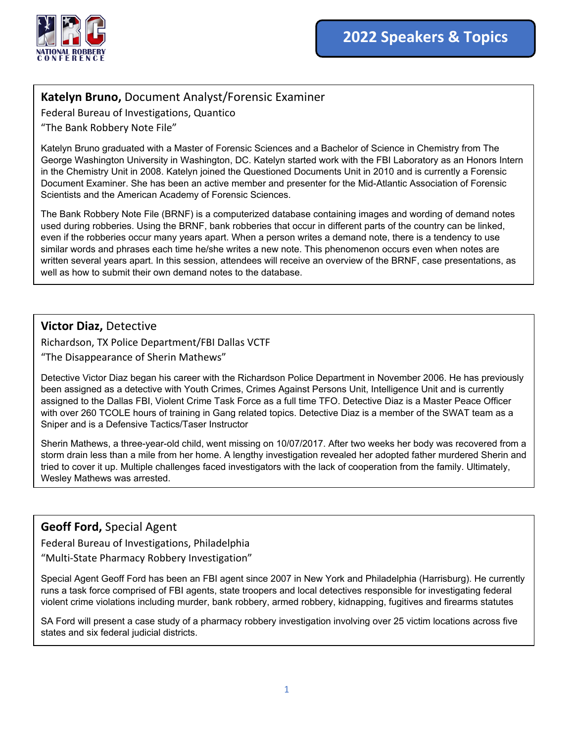

# **Katelyn Bruno,** Document Analyst/Forensic Examiner

Federal Bureau of Investigations, Quantico "The Bank Robbery Note File"

Katelyn Bruno graduated with a Master of Forensic Sciences and a Bachelor of Science in Chemistry from The George Washington University in Washington, DC. Katelyn started work with the FBI Laboratory as an Honors Intern in the Chemistry Unit in 2008. Katelyn joined the Questioned Documents Unit in 2010 and is currently a Forensic Document Examiner. She has been an active member and presenter for the Mid-Atlantic Association of Forensic Scientists and the American Academy of Forensic Sciences.

The Bank Robbery Note File (BRNF) is a computerized database containing images and wording of demand notes used during robberies. Using the BRNF, bank robberies that occur in different parts of the country can be linked, even if the robberies occur many years apart. When a person writes a demand note, there is a tendency to use similar words and phrases each time he/she writes a new note. This phenomenon occurs even when notes are written several years apart. In this session, attendees will receive an overview of the BRNF, case presentations, as well as how to submit their own demand notes to the database.

## **Victor Diaz,** Detective Richardson, TX Police Department/FBI Dallas VCTF "The Disappearance of Sherin Mathews"

Detective Victor Diaz began his career with the Richardson Police Department in November 2006. He has previously been assigned as a detective with Youth Crimes, Crimes Against Persons Unit, Intelligence Unit and is currently assigned to the Dallas FBI, Violent Crime Task Force as a full time TFO. Detective Diaz is a Master Peace Officer with over 260 TCOLE hours of training in Gang related topics. Detective Diaz is a member of the SWAT team as a Sniper and is a Defensive Tactics/Taser Instructor

Sherin Mathews, a three-year-old child, went missing on 10/07/2017. After two weeks her body was recovered from a storm drain less than a mile from her home. A lengthy investigation revealed her adopted father murdered Sherin and tried to cover it up. Multiple challenges faced investigators with the lack of cooperation from the family. Ultimately, Wesley Mathews was arrested.

## **Geoff Ford,** Special Agent

Federal Bureau of Investigations, Philadelphia

"Multi-State Pharmacy Robbery Investigation"

Special Agent Geoff Ford has been an FBI agent since 2007 in New York and Philadelphia (Harrisburg). He currently runs a task force comprised of FBI agents, state troopers and local detectives responsible for investigating federal violent crime violations including murder, bank robbery, armed robbery, kidnapping, fugitives and firearms statutes

SA Ford will present a case study of a pharmacy robbery investigation involving over 25 victim locations across five states and six federal judicial districts.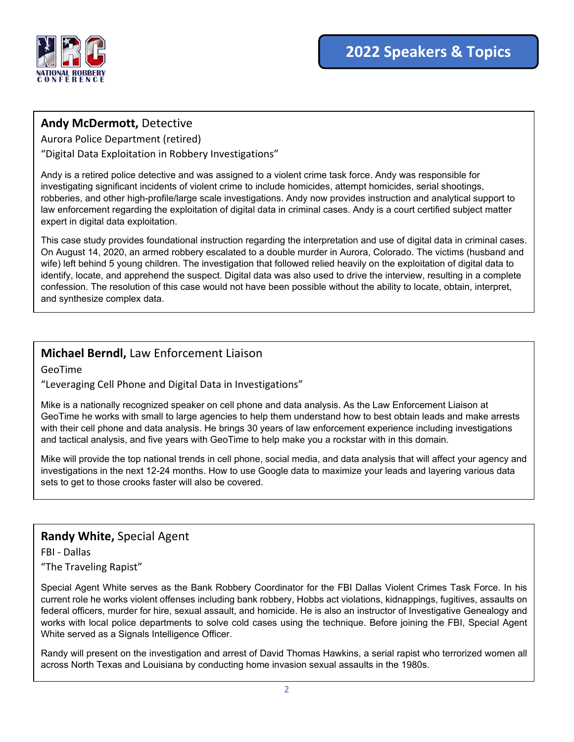

## **Andy McDermott,** Detective

Aurora Police Department (retired)

"Digital Data Exploitation in Robbery Investigations"

Andy is a retired police detective and was assigned to a violent crime task force. Andy was responsible for investigating significant incidents of violent crime to include homicides, attempt homicides, serial shootings, robberies, and other high-profile/large scale investigations. Andy now provides instruction and analytical support to law enforcement regarding the exploitation of digital data in criminal cases. Andy is a court certified subject matter expert in digital data exploitation.

This case study provides foundational instruction regarding the interpretation and use of digital data in criminal cases. On August 14, 2020, an armed robbery escalated to a double murder in Aurora, Colorado. The victims (husband and wife) left behind 5 young children. The investigation that followed relied heavily on the exploitation of digital data to identify, locate, and apprehend the suspect. Digital data was also used to drive the interview, resulting in a complete confession. The resolution of this case would not have been possible without the ability to locate, obtain, interpret, and synthesize complex data.

# **Michael Berndl,** Law Enforcement Liaison

GeoTime

"Leveraging Cell Phone and Digital Data in Investigations"

Mike is a nationally recognized speaker on cell phone and data analysis. As the Law Enforcement Liaison at GeoTime he works with small to large agencies to help them understand how to best obtain leads and make arrests with their cell phone and data analysis. He brings 30 years of law enforcement experience including investigations and tactical analysis, and five years with GeoTime to help make you a rockstar with in this domain.

Mike will provide the top national trends in cell phone, social media, and data analysis that will affect your agency and investigations in the next 12-24 months. How to use Google data to maximize your leads and layering various data sets to get to those crooks faster will also be covered.

#### **Randy White,** Special Agent

FBI - Dallas "The Traveling Rapist"

Special Agent White serves as the Bank Robbery Coordinator for the FBI Dallas Violent Crimes Task Force. In his current role he works violent offenses including bank robbery, Hobbs act violations, kidnappings, fugitives, assaults on federal officers, murder for hire, sexual assault, and homicide. He is also an instructor of Investigative Genealogy and works with local police departments to solve cold cases using the technique. Before joining the FBI, Special Agent White served as a Signals Intelligence Officer.

Randy will present on the investigation and arrest of David Thomas Hawkins, a serial rapist who terrorized women all across North Texas and Louisiana by conducting home invasion sexual assaults in the 1980s.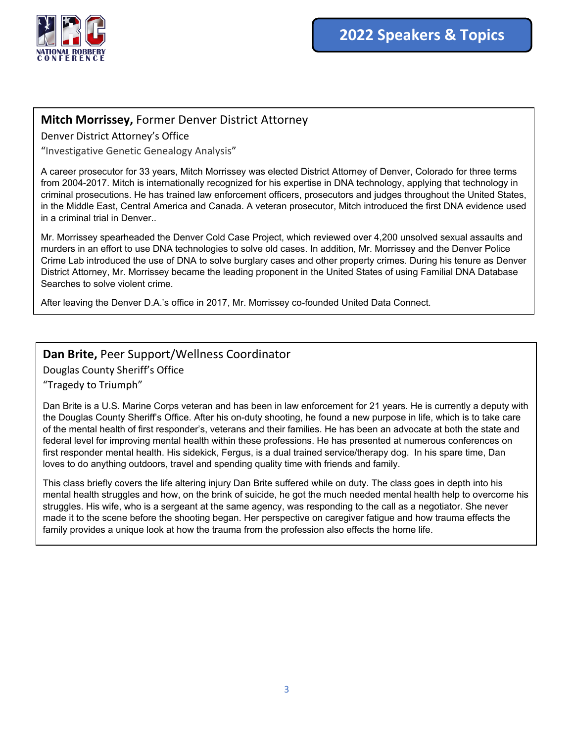

### **Mitch Morrissey,** Former Denver District Attorney

Denver District Attorney's Office

"Investigative Genetic Genealogy Analysis"

A career prosecutor for 33 years, Mitch Morrissey was elected District Attorney of Denver, Colorado for three terms from 2004-2017. Mitch is internationally recognized for his expertise in DNA technology, applying that technology in criminal prosecutions. He has trained law enforcement officers, prosecutors and judges throughout the United States, in the Middle East, Central America and Canada. A veteran prosecutor, Mitch introduced the first DNA evidence used in a criminal trial in Denver..

Mr. Morrissey spearheaded the Denver Cold Case Project, which reviewed over 4,200 unsolved sexual assaults and murders in an effort to use DNA technologies to solve old cases. In addition, Mr. Morrissey and the Denver Police Crime Lab introduced the use of DNA to solve burglary cases and other property crimes. During his tenure as Denver District Attorney, Mr. Morrissey became the leading proponent in the United States of using Familial DNA Database Searches to solve violent crime.

After leaving the Denver D.A.'s office in 2017, Mr. Morrissey co-founded United Data Connect.

#### **Dan Brite,** Peer Support/Wellness Coordinator

Douglas County Sheriff's Office

"Tragedy to Triumph"

Dan Brite is a U.S. Marine Corps veteran and has been in law enforcement for 21 years. He is currently a deputy with the Douglas County Sheriff's Office. After his on-duty shooting, he found a new purpose in life, which is to take care of the mental health of first responder's, veterans and their families. He has been an advocate at both the state and federal level for improving mental health within these professions. He has presented at numerous conferences on first responder mental health. His sidekick, Fergus, is a dual trained service/therapy dog. In his spare time, Dan loves to do anything outdoors, travel and spending quality time with friends and family.

This class briefly covers the life altering injury Dan Brite suffered while on duty. The class goes in depth into his mental health struggles and how, on the brink of suicide, he got the much needed mental health help to overcome his struggles. His wife, who is a sergeant at the same agency, was responding to the call as a negotiator. She never made it to the scene before the shooting began. Her perspective on caregiver fatigue and how trauma effects the family provides a unique look at how the trauma from the profession also effects the home life.